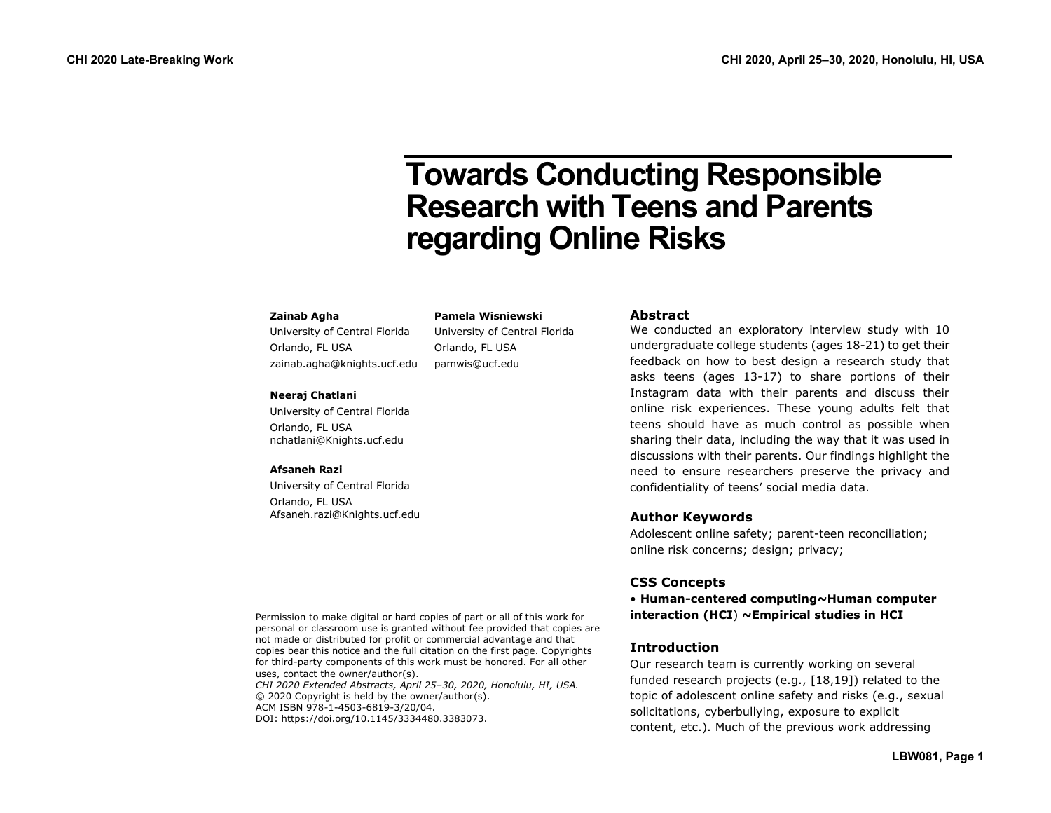# **Towards Conducting Responsible Research with Teens and Parents regarding Online Risks**

#### **Zainab Agha**

University of Central Florida Orlando, FL USA zainab.agha@knights.ucf.edu

# **Neeraj Chatlani**

University of Central Florida Orlando, FL USA nchatlani@Knights.ucf.edu

#### **Afsaneh Razi**

University of Central Florida Orlando, FL USA Afsaneh.razi@Knights.ucf.edu

#### **Abstract**

We conducted an exploratory interview study with 10 undergraduate college students (ages 18-21) to get their feedback on how to best design a research study that asks teens (ages 13-17) to share portions of their Instagram data with their parents and discuss their online risk experiences. These young adults felt that teens should have as much control as possible when sharing their data, including the way that it was used in discussions with their parents. Our findings highlight the need to ensure researchers preserve the privacy and confidentiality of teens' social media data.

#### **Author Keywords**

Adolescent online safety; parent-teen reconciliation; online risk concerns; design; privacy;

# **CSS Concepts**

• **Human-centered computing~Human computer interaction (HCI**) **~Empirical studies in HCI**

#### **Introduction**

Our research team is currently working on several funded research projects (e.g., [18,19]) related to the topic of adolescent online safety and risks (e.g., sexual solicitations, cyberbullying, exposure to explicit content, etc.). Much of the previous work addressing

Permission to make digital or hard copies of part or all of this work for personal or classroom use is granted without fee provided that copies are not made or distributed for profit or commercial advantage and that copies bear this notice and the full citation on the first page. Copyrights for third-party components of this work must be honored. For all other uses, contact the owner/author(s). *CHI 2020 Extended Abstracts, April 25–30, 2020, Honolulu, HI, USA.* © 2020 Copyright is held by the owner/author(s).

**Pamela Wisniewski** University of Central Florida

Orlando, FL USA pamwis@ucf.edu

ACM ISBN 978-1-4503-6819-3/20/04.

DOI: https://doi.org/10.1145/3334480.3383073.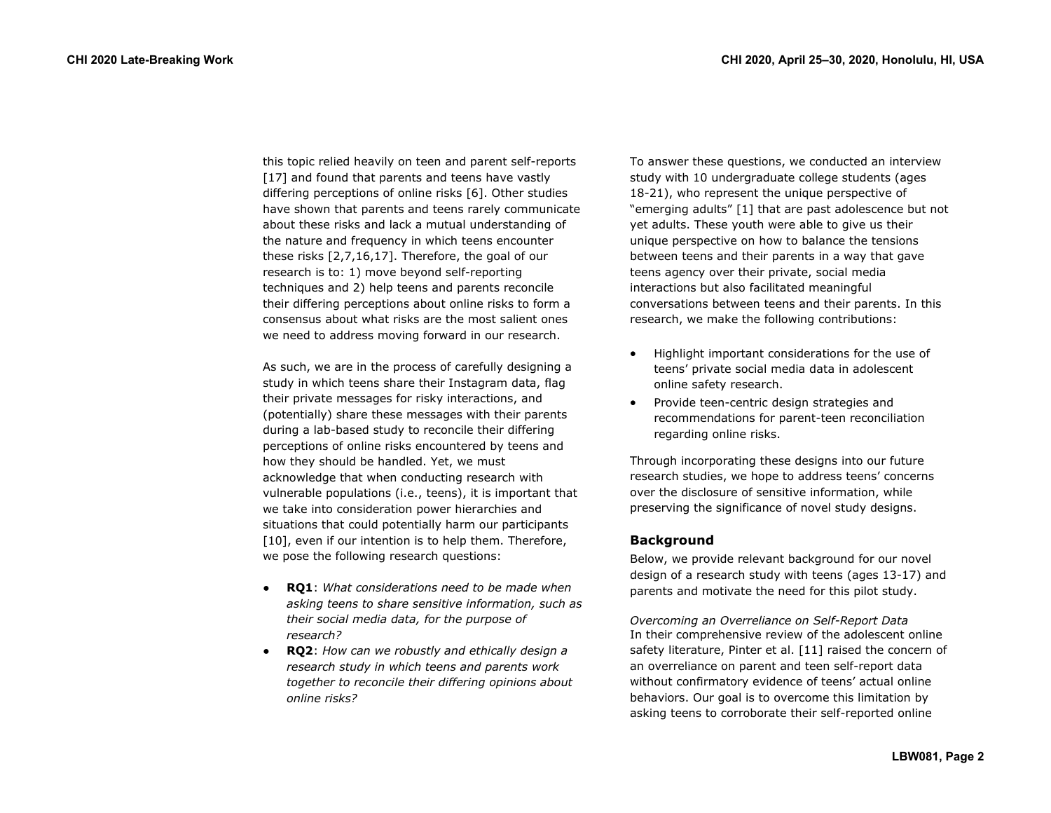this topic relied heavily on teen and parent self-reports [17] and found that parents and teens have vastly differing perceptions of online risks [6]. Other studies have shown that parents and teens rarely communicate about these risks and lack a mutual understanding of the nature and frequency in which teens encounter these risks [2,7,16,17]. Therefore, the goal of our research is to: 1) move beyond self-reporting techniques and 2) help teens and parents reconcile their differing perceptions about online risks to form a consensus about what risks are the most salient ones we need to address moving forward in our research.

As such, we are in the process of carefully designing a study in which teens share their Instagram data, flag their private messages for risky interactions, and (potentially) share these messages with their parents during a lab-based study to reconcile their differing perceptions of online risks encountered by teens and how they should be handled. Yet, we must acknowledge that when conducting research with vulnerable populations (i.e., teens), it is important that we take into consideration power hierarchies and situations that could potentially harm our participants [10], even if our intention is to help them. Therefore, we pose the following research questions:

- **RQ1**: *What considerations need to be made when asking teens to share sensitive information, such as their social media data, for the purpose of research?*
- **RQ2**: *How can we robustly and ethically design a research study in which teens and parents work together to reconcile their differing opinions about online risks?*

To answer these questions, we conducted an interview study with 10 undergraduate college students (ages 18-21), who represent the unique perspective of "emerging adults" [1] that are past adolescence but not yet adults. These youth were able to give us their unique perspective on how to balance the tensions between teens and their parents in a way that gave teens agency over their private, social media interactions but also facilitated meaningful conversations between teens and their parents. In this research, we make the following contributions:

- Highlight important considerations for the use of teens' private social media data in adolescent online safety research.
- Provide teen-centric design strategies and recommendations for parent-teen reconciliation regarding online risks.

Through incorporating these designs into our future research studies, we hope to address teens' concerns over the disclosure of sensitive information, while preserving the significance of novel study designs.

# **Background**

Below, we provide relevant background for our novel design of a research study with teens (ages 13-17) and parents and motivate the need for this pilot study.

*Overcoming an Overreliance on Self-Report Data* In their comprehensive review of the adolescent online safety literature, Pinter et al. [11] raised the concern of an overreliance on parent and teen self-report data without confirmatory evidence of teens' actual online behaviors. Our goal is to overcome this limitation by asking teens to corroborate their self-reported online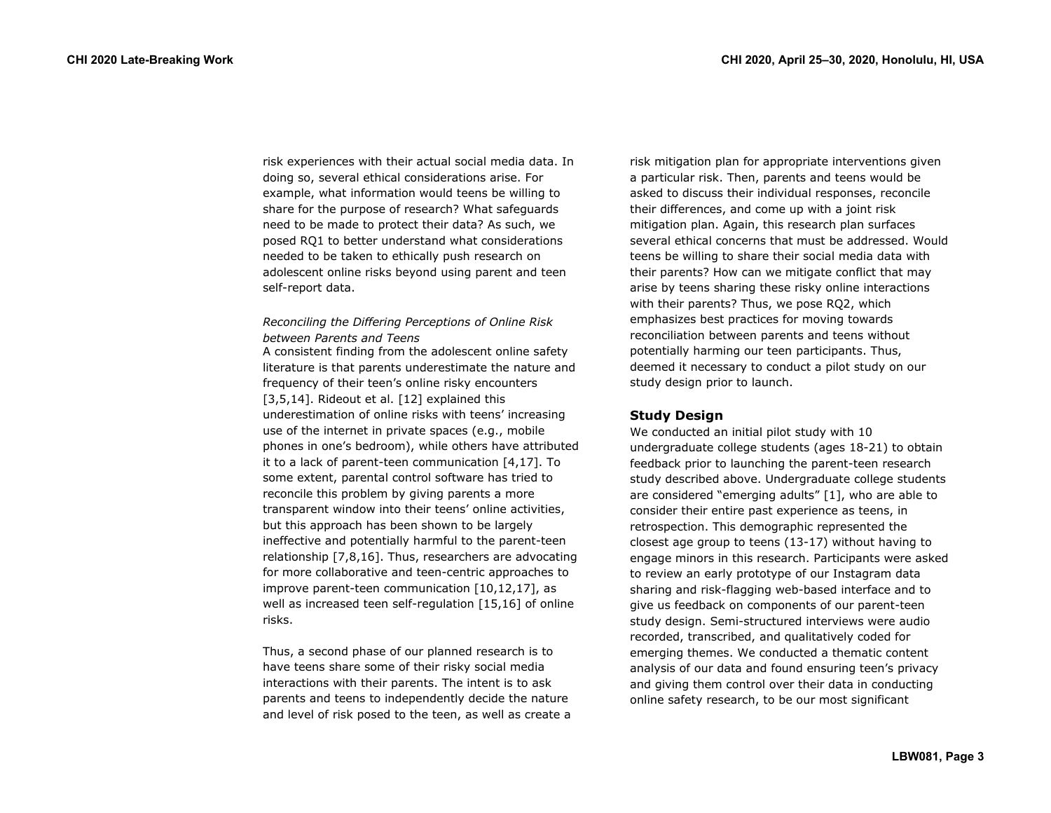risk experiences with their actual social media data. In doing so, several ethical considerations arise. For example, what information would teens be willing to share for the purpose of research? What safeguards need to be made to protect their data? As such, we posed RQ1 to better understand what considerations needed to be taken to ethically push research on adolescent online risks beyond using parent and teen self-report data.

## *Reconciling the Differing Perceptions of Online Risk between Parents and Teens*

A consistent finding from the adolescent online safety literature is that parents underestimate the nature and frequency of their teen's online risky encounters [3,5,14]. Rideout et al. [12] explained this underestimation of online risks with teens' increasing use of the internet in private spaces (e.g., mobile phones in one's bedroom), while others have attributed it to a lack of parent-teen communication [4,17]. To some extent, parental control software has tried to reconcile this problem by giving parents a more transparent window into their teens' online activities, but this approach has been shown to be largely ineffective and potentially harmful to the parent-teen relationship [7,8,16]. Thus, researchers are advocating for more collaborative and teen-centric approaches to improve parent-teen communication [10,12,17], as well as increased teen self-regulation [15,16] of online risks.

Thus, a second phase of our planned research is to have teens share some of their risky social media interactions with their parents. The intent is to ask parents and teens to independently decide the nature and level of risk posed to the teen, as well as create a risk mitigation plan for appropriate interventions given a particular risk. Then, parents and teens would be asked to discuss their individual responses, reconcile their differences, and come up with a joint risk mitigation plan. Again, this research plan surfaces several ethical concerns that must be addressed. Would teens be willing to share their social media data with their parents? How can we mitigate conflict that may arise by teens sharing these risky online interactions with their parents? Thus, we pose RQ2, which emphasizes best practices for moving towards reconciliation between parents and teens without potentially harming our teen participants. Thus, deemed it necessary to conduct a pilot study on our study design prior to launch.

# **Study Design**

We conducted an initial pilot study with 10 undergraduate college students (ages 18-21) to obtain feedback prior to launching the parent-teen research study described above. Undergraduate college students are considered "emerging adults" [1], who are able to consider their entire past experience as teens, in retrospection. This demographic represented the closest age group to teens (13-17) without having to engage minors in this research. Participants were asked to review an early prototype of our Instagram data sharing and risk-flagging web-based interface and to give us feedback on components of our parent-teen study design. Semi-structured interviews were audio recorded, transcribed, and qualitatively coded for emerging themes. We conducted a thematic content analysis of our data and found ensuring teen's privacy and giving them control over their data in conducting online safety research, to be our most significant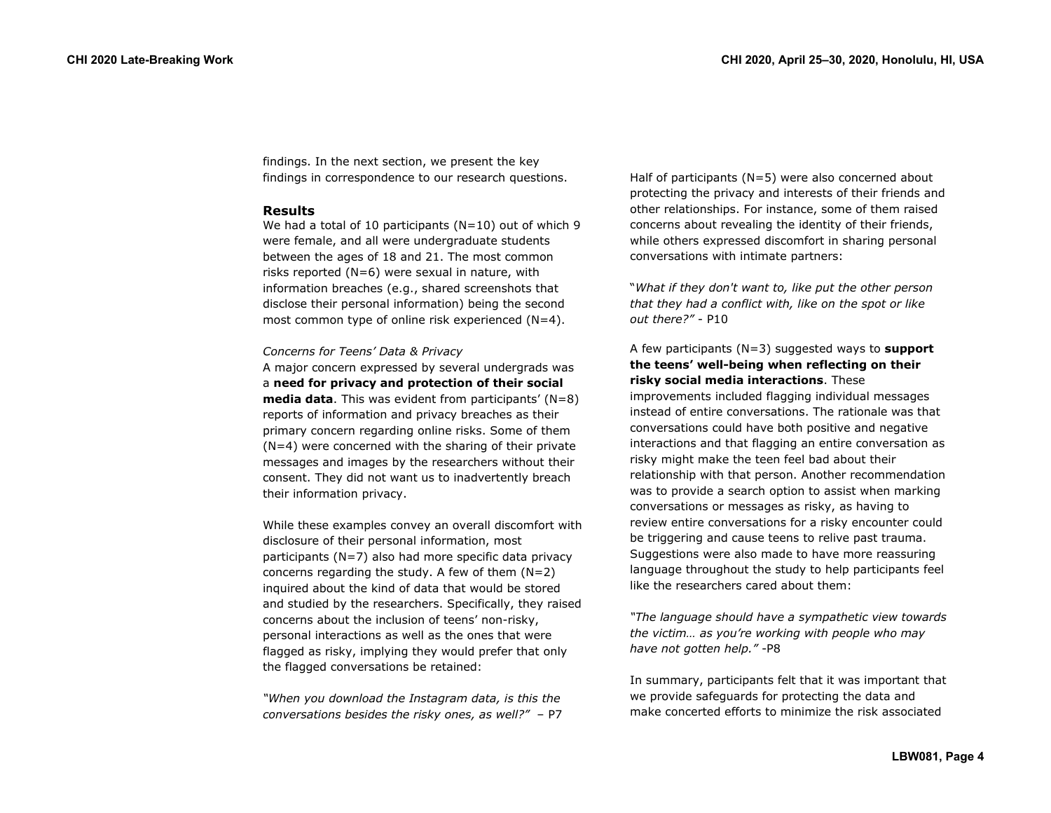findings. In the next section, we present the key findings in correspondence to our research questions.

#### **Results**

We had a total of 10 participants ( $N=10$ ) out of which 9 were female, and all were undergraduate students between the ages of 18 and 21. The most common risks reported  $(N=6)$  were sexual in nature, with information breaches (e.g., shared screenshots that disclose their personal information) being the second most common type of online risk experienced (N=4).

#### *Concerns for Teens' Data & Privacy*

A major concern expressed by several undergrads was a **need for privacy and protection of their social media data**. This was evident from participants' (N=8) reports of information and privacy breaches as their primary concern regarding online risks. Some of them (N=4) were concerned with the sharing of their private messages and images by the researchers without their consent. They did not want us to inadvertently breach their information privacy.

While these examples convey an overall discomfort with disclosure of their personal information, most participants (N=7) also had more specific data privacy concerns regarding the study. A few of them  $(N=2)$ inquired about the kind of data that would be stored and studied by the researchers. Specifically, they raised concerns about the inclusion of teens' non-risky, personal interactions as well as the ones that were flagged as risky, implying they would prefer that only the flagged conversations be retained:

*"When you download the Instagram data, is this the conversations besides the risky ones, as well?"* – P7 Half of participants (N=5) were also concerned about protecting the privacy and interests of their friends and other relationships. For instance, some of them raised concerns about revealing the identity of their friends, while others expressed discomfort in sharing personal conversations with intimate partners:

"*What if they don't want to, like put the other person that they had a conflict with, like on the spot or like out there?"* - P10

### A few participants (N=3) suggested ways to **support the teens' well-being when reflecting on their risky social media interactions**. These

improvements included flagging individual messages instead of entire conversations. The rationale was that conversations could have both positive and negative interactions and that flagging an entire conversation as risky might make the teen feel bad about their relationship with that person. Another recommendation was to provide a search option to assist when marking conversations or messages as risky, as having to review entire conversations for a risky encounter could be triggering and cause teens to relive past trauma. Suggestions were also made to have more reassuring language throughout the study to help participants feel like the researchers cared about them:

*"The language should have a sympathetic view towards the victim… as you're working with people who may have not gotten help."* -P8

In summary, participants felt that it was important that we provide safeguards for protecting the data and make concerted efforts to minimize the risk associated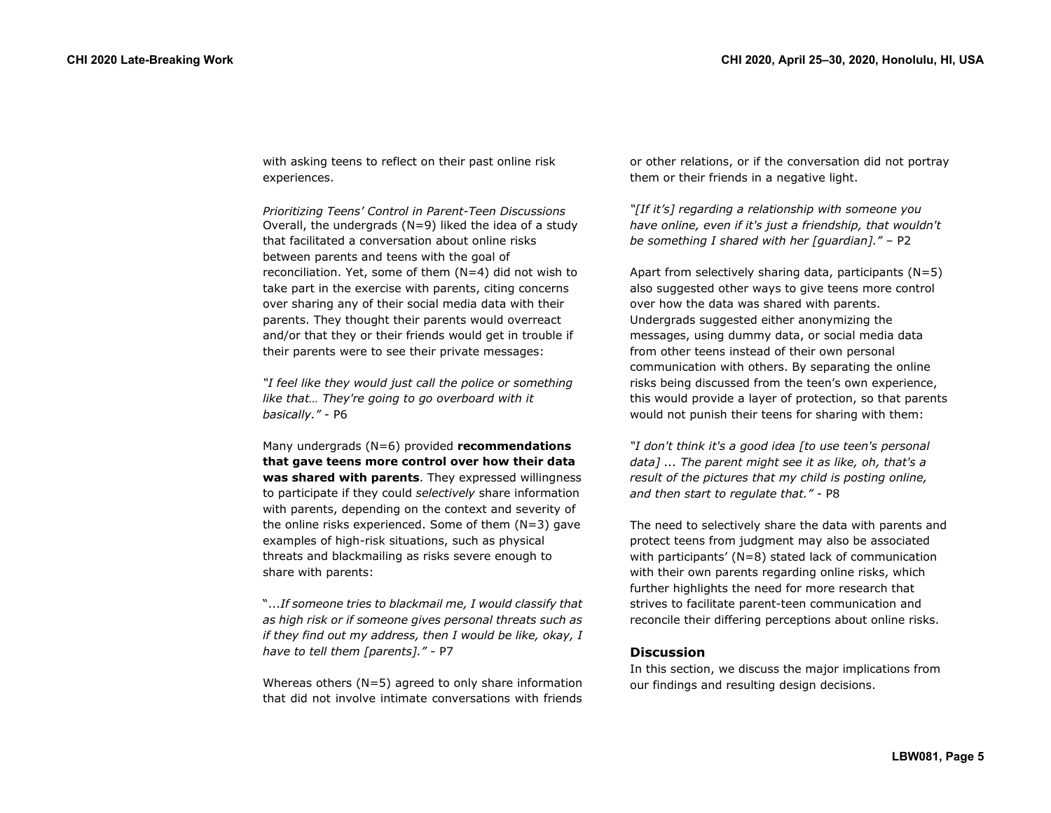with asking teens to reflect on their past online risk experiences.

*Prioritizing Teens' Control in Parent-Teen Discussions* Overall, the undergrads (N=9) liked the idea of a study that facilitated a conversation about online risks between parents and teens with the goal of reconciliation. Yet, some of them (N=4) did not wish to take part in the exercise with parents, citing concerns over sharing any of their social media data with their parents. They thought their parents would overreact and/or that they or their friends would get in trouble if their parents were to see their private messages:

*"I feel like they would just call the police or something like that… They're going to go overboard with it basically."* - P6

Many undergrads (N=6) provided **recommendations that gave teens more control over how their data was shared with parents**. They expressed willingness to participate if they could *selectively* share information with parents, depending on the context and severity of the online risks experienced. Some of them (N=3) gave examples of high-risk situations, such as physical threats and blackmailing as risks severe enough to share with parents:

"...*If someone tries to blackmail me, I would classify that as high risk or if someone gives personal threats such as if they find out my address, then I would be like, okay, I have to tell them [parents]."* - P7

Whereas others  $(N=5)$  agreed to only share information that did not involve intimate conversations with friends or other relations, or if the conversation did not portray them or their friends in a negative light.

*"[If it's] regarding a relationship with someone you have online, even if it's just a friendship, that wouldn't be something I shared with her [guardian]."* – P2

Apart from selectively sharing data, participants  $(N=5)$ also suggested other ways to give teens more control over how the data was shared with parents. Undergrads suggested either anonymizing the messages, using dummy data, or social media data from other teens instead of their own personal communication with others. By separating the online risks being discussed from the teen's own experience, this would provide a layer of protection, so that parents would not punish their teens for sharing with them:

*"I don't think it's a good idea [to use teen's personal data] ... The parent might see it as like, oh, that's a result of the pictures that my child is posting online, and then start to regulate that."* - P8

The need to selectively share the data with parents and protect teens from judgment may also be associated with participants' (N=8) stated lack of communication with their own parents regarding online risks, which further highlights the need for more research that strives to facilitate parent-teen communication and reconcile their differing perceptions about online risks.

#### **Discussion**

In this section, we discuss the major implications from our findings and resulting design decisions.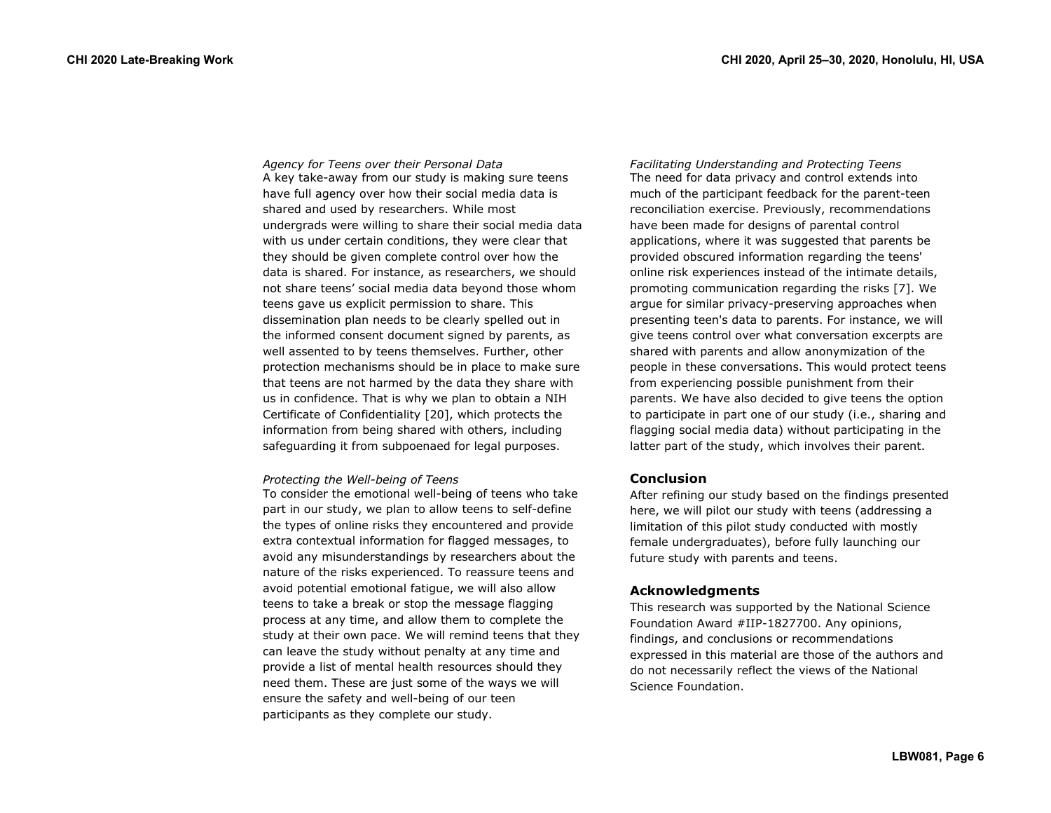*Agency for Teens over their Personal Data* A key take-away from our study is making sure teens have full agency over how their social media data is shared and used by researchers. While most undergrads were willing to share their social media data with us under certain conditions, they were clear that they should be given complete control over how the data is shared. For instance, as researchers, we should not share teens' social media data beyond those whom teens gave us explicit permission to share. This dissemination plan needs to be clearly spelled out in the informed consent document signed by parents, as well assented to by teens themselves. Further, other protection mechanisms should be in place to make sure that teens are not harmed by the data they share with us in confidence. That is why we plan to obtain a NIH Certificate of Confidentiality [20], which protects the information from being shared with others, including safeguarding it from subpoenaed for legal purposes.

#### *Protecting the Well-being of Teens*

To consider the emotional well-being of teens who take part in our study, we plan to allow teens to self-define the types of online risks they encountered and provide extra contextual information for flagged messages, to avoid any misunderstandings by researchers about the nature of the risks experienced. To reassure teens and avoid potential emotional fatigue, we will also allow teens to take a break or stop the message flagging process at any time, and allow them to complete the study at their own pace. We will remind teens that they can leave the study without penalty at any time and provide a list of mental health resources should they need them. These are just some of the ways we will ensure the safety and well-being of our teen participants as they complete our study.

*Facilitating Understanding and Protecting Teens*  The need for data privacy and control extends into much of the participant feedback for the parent-teen reconciliation exercise. Previously, recommendations have been made for designs of parental control applications, where it was suggested that parents be provided obscured information regarding the teens' online risk experiences instead of the intimate details, promoting communication regarding the risks [7]. We argue for similar privacy-preserving approaches when presenting teen's data to parents. For instance, we will give teens control over what conversation excerpts are shared with parents and allow anonymization of the people in these conversations. This would protect teens from experiencing possible punishment from their parents. We have also decided to give teens the option to participate in part one of our study (i.e., sharing and flagging social media data) without participating in the latter part of the study, which involves their parent.

#### **Conclusion**

After refining our study based on the findings presented here, we will pilot our study with teens (addressing a limitation of this pilot study conducted with mostly female undergraduates), before fully launching our future study with parents and teens.

#### **Acknowledgments**

This research was supported by the National Science Foundation Award #IIP-1827700. Any opinions, findings, and conclusions or recommendations expressed in this material are those of the authors and do not necessarily reflect the views of the National Science Foundation.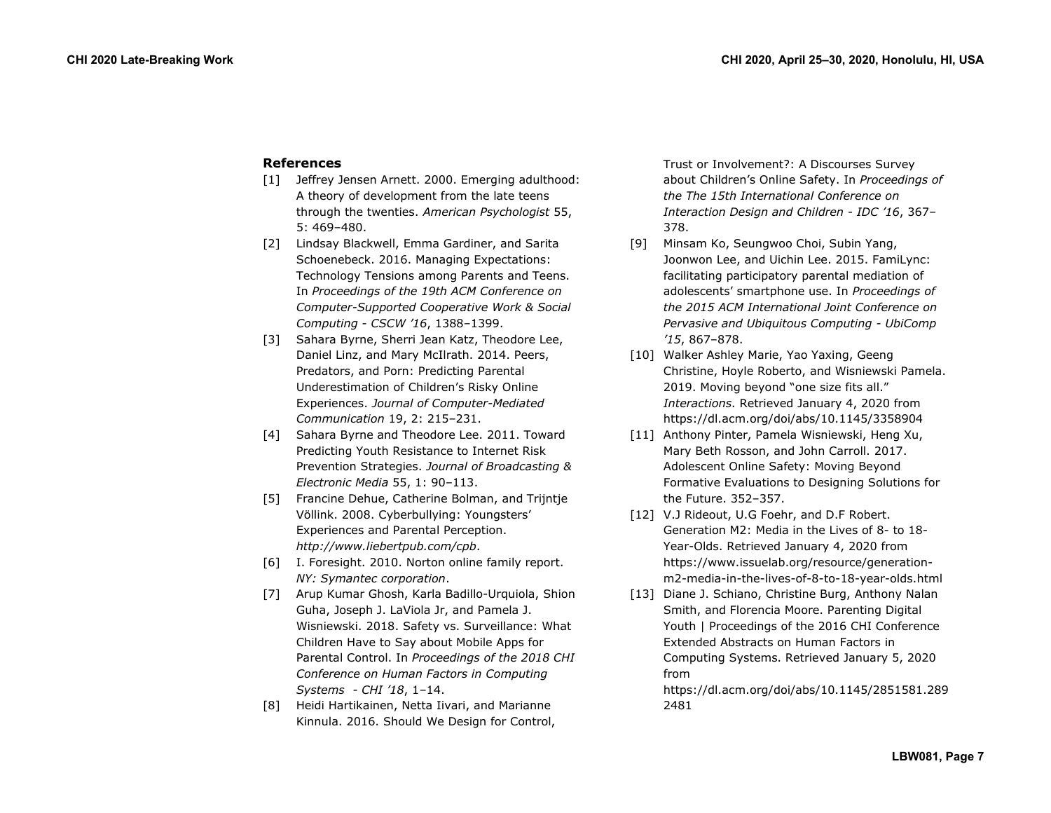# **References**

- [1] Jeffrey Jensen Arnett. 2000. Emerging adulthood: A theory of development from the late teens through the twenties. *American Psychologist* 55, 5: 469–480.
- [2] Lindsay Blackwell, Emma Gardiner, and Sarita Schoenebeck. 2016. Managing Expectations: Technology Tensions among Parents and Teens. In *Proceedings of the 19th ACM Conference on Computer-Supported Cooperative Work & Social Computing - CSCW '16*, 1388–1399.
- [3] Sahara Byrne, Sherri Jean Katz, Theodore Lee, Daniel Linz, and Mary McIlrath. 2014. Peers, Predators, and Porn: Predicting Parental Underestimation of Children's Risky Online Experiences. *Journal of Computer-Mediated Communication* 19, 2: 215–231.
- [4] Sahara Byrne and Theodore Lee. 2011. Toward Predicting Youth Resistance to Internet Risk Prevention Strategies. *Journal of Broadcasting & Electronic Media* 55, 1: 90–113.
- [5] Francine Dehue, Catherine Bolman, and Trijntje Völlink. 2008. Cyberbullying: Youngsters' Experiences and Parental Perception. *http://www.liebertpub.com/cpb*.
- [6] I. Foresight. 2010. Norton online family report. *NY: Symantec corporation*.
- [7] Arup Kumar Ghosh, Karla Badillo-Urquiola, Shion Guha, Joseph J. LaViola Jr, and Pamela J. Wisniewski. 2018. Safety vs. Surveillance: What Children Have to Say about Mobile Apps for Parental Control. In *Proceedings of the 2018 CHI Conference on Human Factors in Computing Systems - CHI '18*, 1–14.
- [8] Heidi Hartikainen, Netta Iivari, and Marianne Kinnula. 2016. Should We Design for Control,

Trust or Involvement?: A Discourses Survey about Children's Online Safety. In *Proceedings of the The 15th International Conference on Interaction Design and Children - IDC '16*, 367– 378.

- [9] Minsam Ko, Seungwoo Choi, Subin Yang, Joonwon Lee, and Uichin Lee. 2015. FamiLync: facilitating participatory parental mediation of adolescents' smartphone use. In *Proceedings of the 2015 ACM International Joint Conference on Pervasive and Ubiquitous Computing - UbiComp '15*, 867–878.
- [10] Walker Ashley Marie, Yao Yaxing, Geeng Christine, Hoyle Roberto, and Wisniewski Pamela. 2019. Moving beyond "one size fits all." *Interactions*. Retrieved January 4, 2020 from https://dl.acm.org/doi/abs/10.1145/3358904
- [11] Anthony Pinter, Pamela Wisniewski, Heng Xu, Mary Beth Rosson, and John Carroll. 2017. Adolescent Online Safety: Moving Beyond Formative Evaluations to Designing Solutions for the Future. 352–357.
- [12] V.J Rideout, U.G Foehr, and D.F Robert. Generation M2: Media in the Lives of 8- to 18- Year-Olds. Retrieved January 4, 2020 from https://www.issuelab.org/resource/generationm2-media-in-the-lives-of-8-to-18-year-olds.html
- [13] Diane J. Schiano, Christine Burg, Anthony Nalan Smith, and Florencia Moore. Parenting Digital Youth | Proceedings of the 2016 CHI Conference Extended Abstracts on Human Factors in Computing Systems. Retrieved January 5, 2020 from

https://dl.acm.org/doi/abs/10.1145/2851581.289 2481